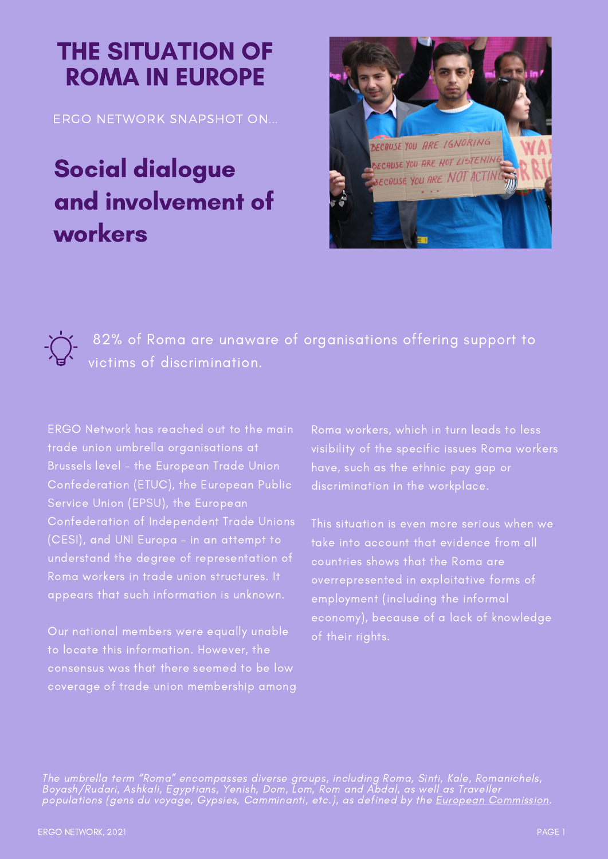## THE SITUATION OF ROMA IN EUROPE

ERGO NETWORK SNAPSHOT ON...

## Social dialogue and involvement of workers



82% of Roma are unaware of organisations offering support to victims of discrimination.

ERGO Network has reached out to the main trade union umbrella organisations at Brussels level – the European Trade Union Confederation (ETUC), the European Public Service Union (EPSU), the European Confederation of Independent Trade Unions (CESI), and UNI Europa – in an attempt to understand the degree of representation of Roma workers in trade union structures. It appears that such information is unknown.

Our national members were equally unable consensus was that there seemed to be low coverage of trade union membership among Roma workers, which in turn leads to less visibility of the specific issues Roma workers have, such as the ethnic pay gap or discrimination in the workplace.

This situation is even more serious when we take into account that evidence from all overrepresented in exploitative forms of employment (including the informal economy), because of a lack of knowledge of their rights.

The umbrella term "Roma" encompasses diverse groups, including Roma, Sinti, Kale, Romanichels, Boyash/Rudari, Ashkali, Egyptians, Yenish, Dom, Lom, Rom and Abdal, as well as Traveller populations (gens du voyage, Gypsies, Camminanti, etc.), as defined by the <u>European [Commission](https://ec.europa.eu/info/policies/justice-and-fundamental-rights/combatting-discrimination/roma-eu/roma-equality-inclusion-and-participation-eu_en)</u>.